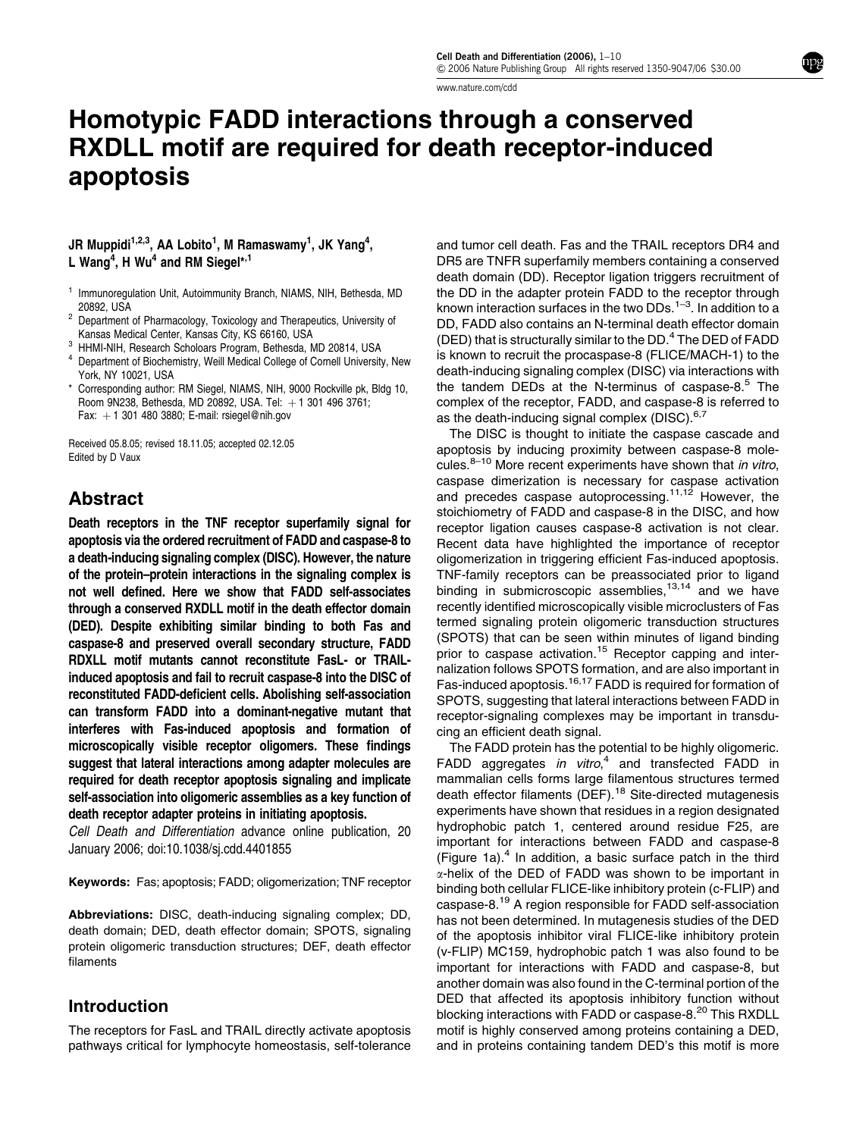www.nature.com/cdd

# Homotypic FADD interactions through a conserved RXDLL motif are required for death receptor-induced apoptosis

## JR Muppidi $^{1,2,3}$ , AA Lobito $^{1}$ , M Ramaswamy $^{1}$ , JK Yang $^{4},$ L Wang<sup>4</sup>, H Wu<sup>4</sup> and RM Siegel<sup>\*,1</sup>

- <sup>1</sup> Immunoregulation Unit, Autoimmunity Branch, NIAMS, NIH, Bethesda, MD<br>20892, USA
- <sup>2</sup> Department of Pharmacology, Toxicology and Therapeutics, University of<br>Kansas Medical Center. Kansas City. KS 66160. USA
- 
- <sup>3</sup> HHMI-NIH, Research Scholoars Program, Bethesda, MD 20814, USA <sup>4</sup> Department of Biochemistry, Weill Medical College of Cornell University, New York, NY 10021, USA
- Corresponding author: RM Siegel, NIAMS, NIH, 9000 Rockville pk, Bldg 10, Room 9N238, Bethesda, MD 20892, USA, Tel:  $+1$  301 496 3761; Fax:  $+1$  301 480 3880; E-mail: rsiegel@nih.gov

Received 05.8.05; revised 18.11.05; accepted 02.12.05 Edited by D Vaux

# Abstract

Death receptors in the TNF receptor superfamily signal for apoptosis via the ordered recruitment of FADD and caspase-8 to a death-inducing signaling complex (DISC). However, the nature of the protein–protein interactions in the signaling complex is not well defined. Here we show that FADD self-associates through a conserved RXDLL motif in the death effector domain (DED). Despite exhibiting similar binding to both Fas and caspase-8 and preserved overall secondary structure, FADD RDXLL motif mutants cannot reconstitute FasL- or TRAILinduced apoptosis and fail to recruit caspase-8 into the DISC of reconstituted FADD-deficient cells. Abolishing self-association can transform FADD into a dominant-negative mutant that interferes with Fas-induced apoptosis and formation of microscopically visible receptor oligomers. These findings suggest that lateral interactions among adapter molecules are required for death receptor apoptosis signaling and implicate self-association into oligomeric assemblies as a key function of death receptor adapter proteins in initiating apoptosis.

Cell Death and Differentiation advance online publication, 20 January 2006; doi:10.1038/sj.cdd.4401855

Keywords: Fas; apoptosis; FADD; oligomerization; TNF receptor

Abbreviations: DISC, death-inducing signaling complex; DD, death domain; DED, death effector domain; SPOTS, signaling protein oligomeric transduction structures; DEF, death effector filaments

# Introduction

The receptors for FasL and TRAIL directly activate apoptosis pathways critical for lymphocyte homeostasis, self-tolerance

and tumor cell death. Fas and the TRAIL receptors DR4 and DR5 are TNFR superfamily members containing a conserved death domain (DD). Receptor ligation triggers recruitment of the DD in the adapter protein FADD to the receptor through known interaction surfaces in the two DDs. $1-3$ . In addition to a DD, FADD also contains an N-terminal death effector domain (DED) that is structurally similar to the DD.<sup>4</sup> The DED of FADD is known to recruit the procaspase-8 (FLICE/MACH-1) to the death-inducing signaling complex (DISC) via interactions with the tandem DEDs at the N-terminus of caspase- $8.5$  The complex of the receptor, FADD, and caspase-8 is referred to as the death-inducing signal complex (DISC).<sup>6,7</sup>

The DISC is thought to initiate the caspase cascade and apoptosis by inducing proximity between caspase-8 molecules. $8-10$  More recent experiments have shown that in vitro, caspase dimerization is necessary for caspase activation and precedes caspase autoprocessing.<sup>11,12</sup> However, the stoichiometry of FADD and caspase-8 in the DISC, and how receptor ligation causes caspase-8 activation is not clear. Recent data have highlighted the importance of receptor oligomerization in triggering efficient Fas-induced apoptosis. TNF-family receptors can be preassociated prior to ligand binding in submicroscopic assemblies.<sup>13,14</sup> and we have recently identified microscopically visible microclusters of Fas termed signaling protein oligomeric transduction structures (SPOTS) that can be seen within minutes of ligand binding prior to caspase activation.<sup>15</sup> Receptor capping and internalization follows SPOTS formation, and are also important in Fas-induced apoptosis.<sup>16,17</sup> FADD is required for formation of SPOTS, suggesting that lateral interactions between FADD in receptor-signaling complexes may be important in transducing an efficient death signal.

The FADD protein has the potential to be highly oligomeric. FADD aggregates in vitro,<sup>4</sup> and transfected FADD in mammalian cells forms large filamentous structures termed death effector filaments (DEF).<sup>18</sup> Site-directed mutagenesis experiments have shown that residues in a region designated hydrophobic patch 1, centered around residue F25, are important for interactions between FADD and caspase-8 (Figure 1a). $4$  In addition, a basic surface patch in the third  $\alpha$ -helix of the DED of FADD was shown to be important in binding both cellular FLICE-like inhibitory protein (c-FLIP) and caspase-8.<sup>19</sup> A region responsible for FADD self-association has not been determined. In mutagenesis studies of the DED of the apoptosis inhibitor viral FLICE-like inhibitory protein (v-FLIP) MC159, hydrophobic patch 1 was also found to be important for interactions with FADD and caspase-8, but another domain was also found in the C-terminal portion of the DED that affected its apoptosis inhibitory function without blocking interactions with FADD or caspase-8.<sup>20</sup> This RXDLL motif is highly conserved among proteins containing a DED, and in proteins containing tandem DED's this motif is more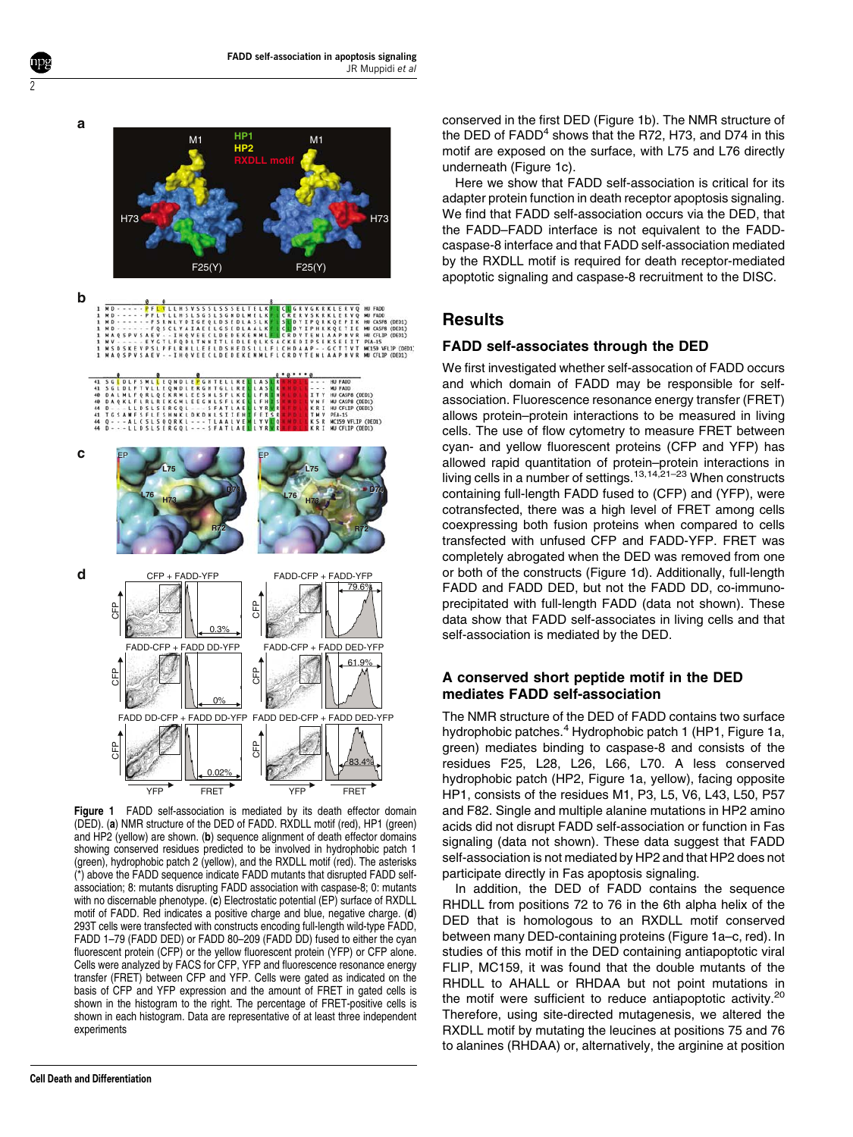**a**

2



Figure 1 FADD self-association is mediated by its death effector domain (DED). (a) NMR structure of the DED of FADD. RXDLL motif (red), HP1 (green) and HP2 (yellow) are shown. (b) sequence alignment of death effector domains showing conserved residues predicted to be involved in hydrophobic patch 1 (green), hydrophobic patch 2 (yellow), and the RXDLL motif (red). The asterisks (\*) above the FADD sequence indicate FADD mutants that disrupted FADD selfassociation; 8: mutants disrupting FADD association with caspase-8; 0: mutants with no discernable phenotype. (c) Electrostatic potential (EP) surface of RXDLL motif of FADD. Red indicates a positive charge and blue, negative charge. (d) 293T cells were transfected with constructs encoding full-length wild-type FADD, FADD 1–79 (FADD DED) or FADD 80–209 (FADD DD) fused to either the cyan fluorescent protein (CFP) or the yellow fluorescent protein (YFP) or CFP alone. Cells were analyzed by FACS for CFP, YFP and fluorescence resonance energy transfer (FRET) between CFP and YFP. Cells were gated as indicated on the basis of CFP and YFP expression and the amount of FRET in gated cells is shown in the histogram to the right. The percentage of FRET-positive cells is shown in each histogram. Data are representative of at least three independent experiments

conserved in the first DED (Figure 1b). The NMR structure of the DED of  $FADD<sup>4</sup>$  shows that the R72, H73, and D74 in this motif are exposed on the surface, with L75 and L76 directly underneath (Figure 1c).

Here we show that FADD self-association is critical for its adapter protein function in death receptor apoptosis signaling. We find that FADD self-association occurs via the DED, that the FADD–FADD interface is not equivalent to the FADDcaspase-8 interface and that FADD self-association mediated by the RXDLL motif is required for death receptor-mediated apoptotic signaling and caspase-8 recruitment to the DISC.

## **Results**

#### FADD self-associates through the DED

We first investigated whether self-assocation of FADD occurs and which domain of FADD may be responsible for selfassociation. Fluorescence resonance energy transfer (FRET) allows protein–protein interactions to be measured in living cells. The use of flow cytometry to measure FRET between cyan- and yellow fluorescent proteins (CFP and YFP) has allowed rapid quantitation of protein–protein interactions in living cells in a number of settings.<sup>13,14,21–23</sup> When constructs containing full-length FADD fused to (CFP) and (YFP), were cotransfected, there was a high level of FRET among cells coexpressing both fusion proteins when compared to cells transfected with unfused CFP and FADD-YFP. FRET was completely abrogated when the DED was removed from one or both of the constructs (Figure 1d). Additionally, full-length FADD and FADD DED, but not the FADD DD, co-immunoprecipitated with full-length FADD (data not shown). These data show that FADD self-associates in living cells and that self-association is mediated by the DED.

#### A conserved short peptide motif in the DED mediates FADD self-association

The NMR structure of the DED of FADD contains two surface hydrophobic patches.<sup>4</sup> Hydrophobic patch 1 (HP1, Figure 1a, green) mediates binding to caspase-8 and consists of the residues F25, L28, L26, L66, L70. A less conserved hydrophobic patch (HP2, Figure 1a, yellow), facing opposite HP1, consists of the residues M1, P3, L5, V6, L43, L50, P57 and F82. Single and multiple alanine mutations in HP2 amino acids did not disrupt FADD self-association or function in Fas signaling (data not shown). These data suggest that FADD self-association is not mediated by HP2 and that HP2 does not participate directly in Fas apoptosis signaling.

In addition, the DED of FADD contains the sequence RHDLL from positions 72 to 76 in the 6th alpha helix of the DED that is homologous to an RXDLL motif conserved between many DED-containing proteins (Figure 1a–c, red). In studies of this motif in the DED containing antiapoptotic viral FLIP, MC159, it was found that the double mutants of the RHDLL to AHALL or RHDAA but not point mutations in the motif were sufficient to reduce antiapoptotic activity.<sup>20</sup> Therefore, using site-directed mutagenesis, we altered the RXDLL motif by mutating the leucines at positions 75 and 76 to alanines (RHDAA) or, alternatively, the arginine at position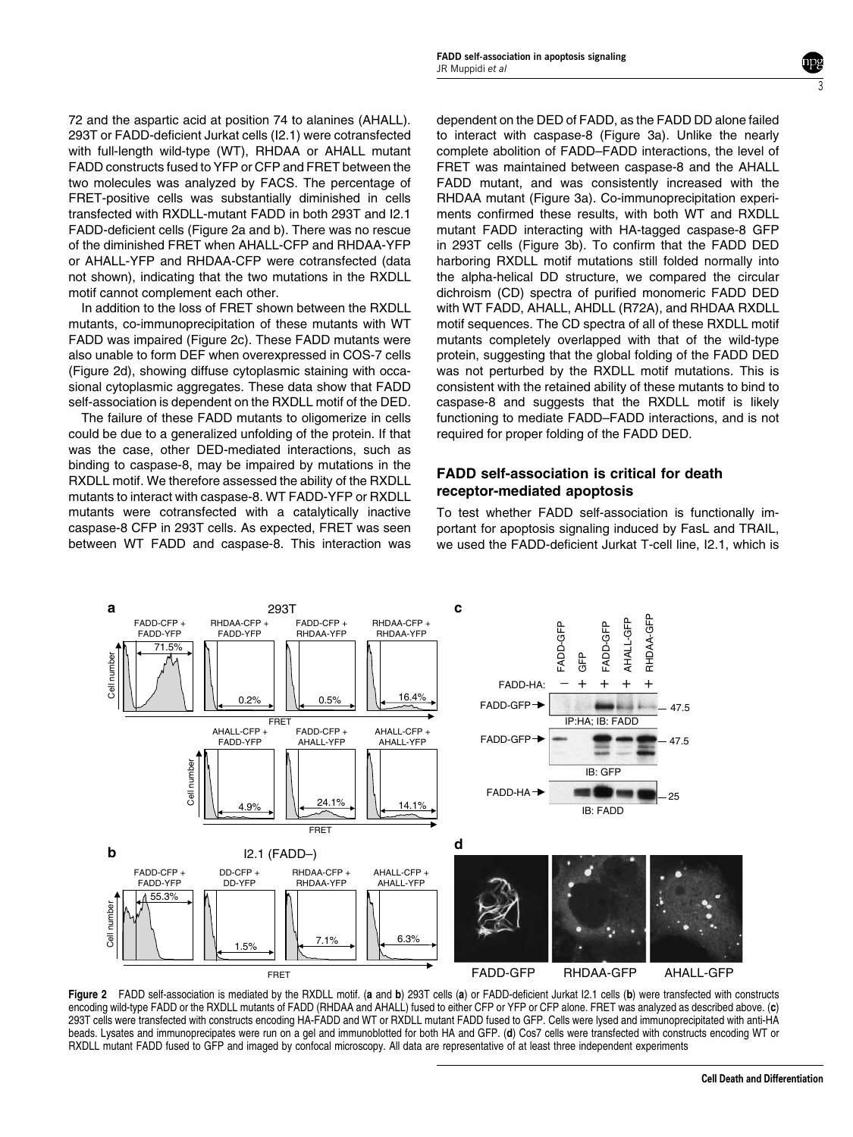72 and the aspartic acid at position 74 to alanines (AHALL). 293T or FADD-deficient Jurkat cells (I2.1) were cotransfected with full-length wild-type (WT), RHDAA or AHALL mutant FADD constructs fused to YFP or CFP and FRET between the two molecules was analyzed by FACS. The percentage of FRET-positive cells was substantially diminished in cells transfected with RXDLL-mutant FADD in both 293T and I2.1 FADD-deficient cells (Figure 2a and b). There was no rescue of the diminished FRET when AHALL-CFP and RHDAA-YFP or AHALL-YFP and RHDAA-CFP were cotransfected (data not shown), indicating that the two mutations in the RXDLL motif cannot complement each other.

In addition to the loss of FRET shown between the RXDLL mutants, co-immunoprecipitation of these mutants with WT FADD was impaired (Figure 2c). These FADD mutants were also unable to form DEF when overexpressed in COS-7 cells (Figure 2d), showing diffuse cytoplasmic staining with occasional cytoplasmic aggregates. These data show that FADD self-association is dependent on the RXDLL motif of the DED.

The failure of these FADD mutants to oligomerize in cells could be due to a generalized unfolding of the protein. If that was the case, other DED-mediated interactions, such as binding to caspase-8, may be impaired by mutations in the RXDLL motif. We therefore assessed the ability of the RXDLL mutants to interact with caspase-8. WT FADD-YFP or RXDLL mutants were cotransfected with a catalytically inactive caspase-8 CFP in 293T cells. As expected, FRET was seen between WT FADD and caspase-8. This interaction was

dependent on the DED of FADD, as the FADD DD alone failed to interact with caspase-8 (Figure 3a). Unlike the nearly complete abolition of FADD–FADD interactions, the level of FRET was maintained between caspase-8 and the AHALL FADD mutant, and was consistently increased with the RHDAA mutant (Figure 3a). Co-immunoprecipitation experiments confirmed these results, with both WT and RXDLL mutant FADD interacting with HA-tagged caspase-8 GFP in 293T cells (Figure 3b). To confirm that the FADD DED harboring RXDLL motif mutations still folded normally into the alpha-helical DD structure, we compared the circular dichroism (CD) spectra of purified monomeric FADD DED with WT FADD, AHALL, AHDLL (R72A), and RHDAA RXDLL motif sequences. The CD spectra of all of these RXDLL motif mutants completely overlapped with that of the wild-type protein, suggesting that the global folding of the FADD DED was not perturbed by the RXDLL motif mutations. This is consistent with the retained ability of these mutants to bind to caspase-8 and suggests that the RXDLL motif is likely functioning to mediate FADD–FADD interactions, and is not required for proper folding of the FADD DED.

3

#### FADD self-association is critical for death receptor-mediated apoptosis

To test whether FADD self-association is functionally important for apoptosis signaling induced by FasL and TRAIL, we used the FADD-deficient Jurkat T-cell line, I2.1, which is



Figure 2 FADD self-association is mediated by the RXDLL motif. (a and b) 293T cells (a) or FADD-deficient Jurkat I2.1 cells (b) were transfected with constructs encoding wild-type FADD or the RXDLL mutants of FADD (RHDAA and AHALL) fused to either CFP or YFP or CFP alone. FRET was analyzed as described above. (c) 293T cells were transfected with constructs encoding HA-FADD and WT or RXDLL mutant FADD fused to GFP. Cells were lysed and immunoprecipitated with anti-HA beads. Lysates and immunoprecipates were run on a gel and immunoblotted for both HA and GFP. (d) Cos7 cells were transfected with constructs encoding WT or RXDLL mutant FADD fused to GFP and imaged by confocal microscopy. All data are representative of at least three independent experiments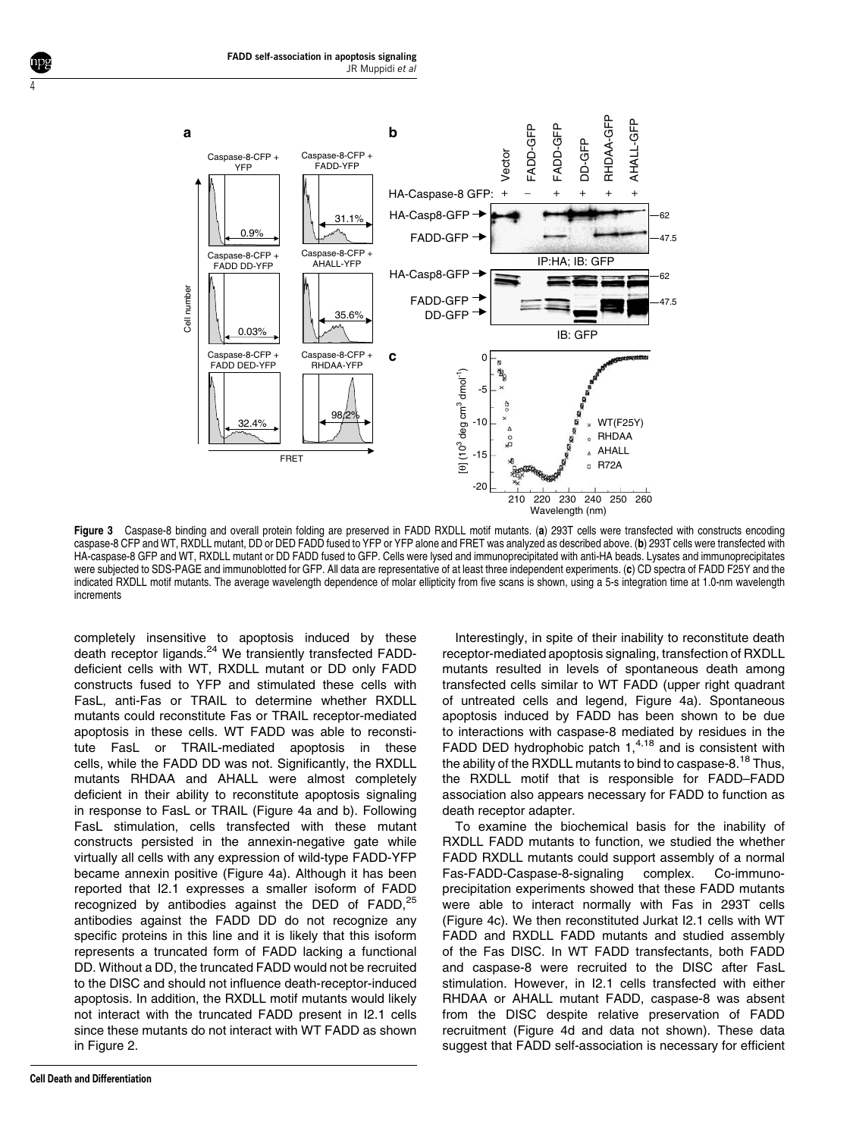

Figure 3 Caspase-8 binding and overall protein folding are preserved in FADD RXDLL motif mutants. (a) 293T cells were transfected with constructs encoding caspase-8 CFP and WT, RXDLL mutant, DD or DED FADD fused to YFP or YFP alone and FRET was analyzed as described above. (b) 293T cells were transfected with HA-caspase-8 GFP and WT, RXDLL mutant or DD FADD fused to GFP. Cells were lysed and immunoprecipitated with anti-HA beads. Lysates and immunoprecipitates were subjected to SDS-PAGE and immunoblotted for GFP. All data are representative of at least three independent experiments. (c) CD spectra of FADD F25Y and the indicated RXDLL motif mutants. The average wavelength dependence of molar ellipticity from five scans is shown, using a 5-s integration time at 1.0-nm wavelength increments

completely insensitive to apoptosis induced by these death receptor ligands.<sup>24</sup> We transiently transfected FADDdeficient cells with WT, RXDLL mutant or DD only FADD constructs fused to YFP and stimulated these cells with FasL, anti-Fas or TRAIL to determine whether RXDLL mutants could reconstitute Fas or TRAIL receptor-mediated apoptosis in these cells. WT FADD was able to reconstitute FasL or TRAIL-mediated apoptosis in these cells, while the FADD DD was not. Significantly, the RXDLL mutants RHDAA and AHALL were almost completely deficient in their ability to reconstitute apoptosis signaling in response to FasL or TRAIL (Figure 4a and b). Following FasL stimulation, cells transfected with these mutant constructs persisted in the annexin-negative gate while virtually all cells with any expression of wild-type FADD-YFP became annexin positive (Figure 4a). Although it has been reported that I2.1 expresses a smaller isoform of FADD recognized by antibodies against the DED of  $FADD$ ,  $^{25}$ antibodies against the FADD DD do not recognize any specific proteins in this line and it is likely that this isoform represents a truncated form of FADD lacking a functional DD. Without a DD, the truncated FADD would not be recruited to the DISC and should not influence death-receptor-induced apoptosis. In addition, the RXDLL motif mutants would likely not interact with the truncated FADD present in I2.1 cells since these mutants do not interact with WT FADD as shown in Figure 2.

4

Interestingly, in spite of their inability to reconstitute death receptor-mediated apoptosis signaling, transfection of RXDLL mutants resulted in levels of spontaneous death among transfected cells similar to WT FADD (upper right quadrant of untreated cells and legend, Figure 4a). Spontaneous apoptosis induced by FADD has been shown to be due to interactions with caspase-8 mediated by residues in the FADD DED hydrophobic patch  $1,4,18$  and is consistent with the ability of the RXDLL mutants to bind to caspase-8.<sup>18</sup> Thus, the RXDLL motif that is responsible for FADD–FADD association also appears necessary for FADD to function as death receptor adapter.

To examine the biochemical basis for the inability of RXDLL FADD mutants to function, we studied the whether FADD RXDLL mutants could support assembly of a normal Fas-FADD-Caspase-8-signaling complex. Co-immunoprecipitation experiments showed that these FADD mutants were able to interact normally with Fas in 293T cells (Figure 4c). We then reconstituted Jurkat I2.1 cells with WT FADD and RXDLL FADD mutants and studied assembly of the Fas DISC. In WT FADD transfectants, both FADD and caspase-8 were recruited to the DISC after FasL stimulation. However, in I2.1 cells transfected with either RHDAA or AHALL mutant FADD, caspase-8 was absent from the DISC despite relative preservation of FADD recruitment (Figure 4d and data not shown). These data suggest that FADD self-association is necessary for efficient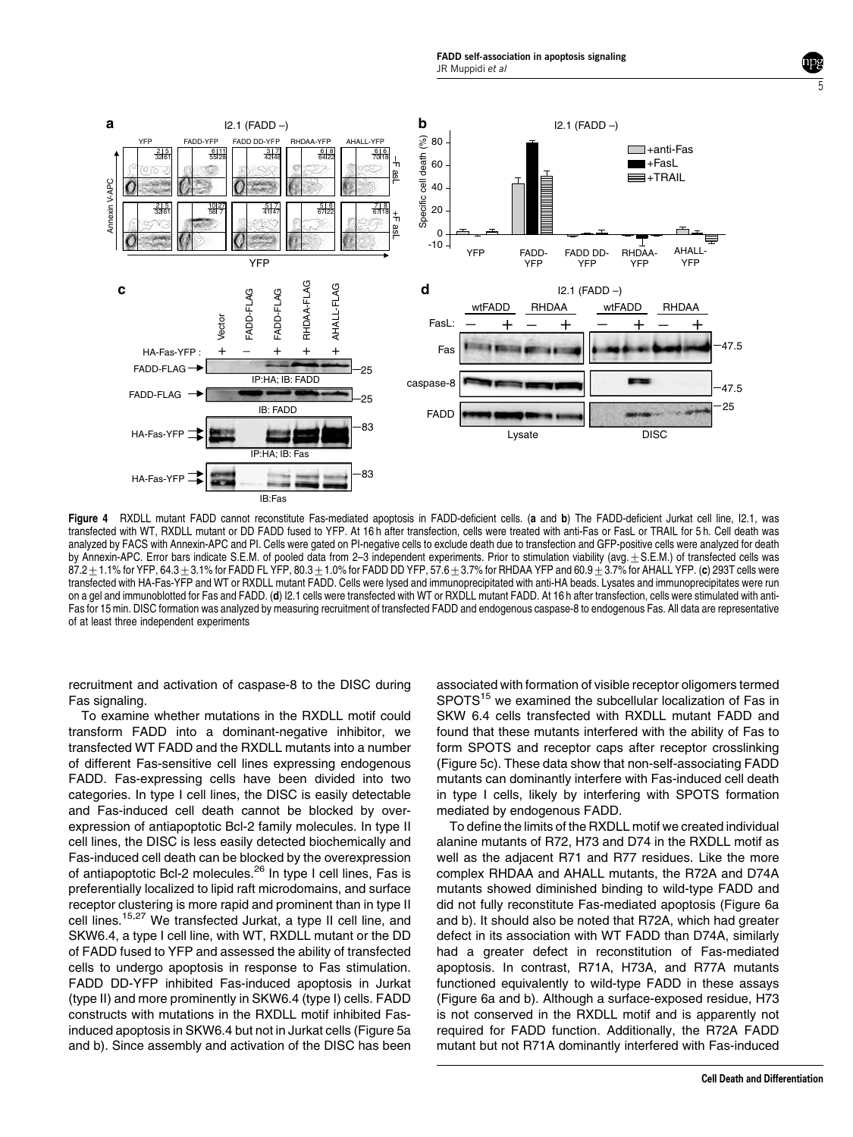FADD self-association in apoptosis signaling JR Muppidi et al



Figure 4 RXDLL mutant FADD cannot reconstitute Fas-mediated apoptosis in FADD-deficient cells. (a and b) The FADD-deficient Jurkat cell line, I2.1, was transfected with WT, RXDLL mutant or DD FADD fused to YFP. At 16 h after transfection, cells were treated with anti-Fas or FasL or TRAIL for 5 h. Cell death was analyzed by FACS with Annexin-APC and PI. Cells were gated on PI-negative cells to exclude death due to transfection and GFP-positive cells were analyzed for death by Annexin-APC. Error bars indicate S.E.M. of pooled data from 2-3 independent experiments. Prior to stimulation viability (avg. $\pm$  S.E.M.) of transfected cells was  $87.2 \pm 1.1\%$  for YFP, 64.3 $\pm$ 3.1% for FADD FL YFP, 80.3 $\pm$  1.0% for FADD DD YFP, 57.6 $\pm$ 3.7% for RHDAA YFP and 60.9 $\pm$ 3.7% for AHALL YFP. (c) 293T cells were transfected with HA-Fas-YFP and WT or RXDLL mutant FADD. Cells were lysed and immunoprecipitated with anti-HA beads. Lysates and immunoprecipitates were run on a gel and immunoblotted for Fas and FADD. (d) I2.1 cells were transfected with WT or RXDLL mutant FADD. At 16 h after transfection, cells were stimulated with anti-Fas for 15 min. DISC formation was analyzed by measuring recruitment of transfected FADD and endogenous caspase-8 to endogenous Fas. All data are representative of at least three independent experiments

recruitment and activation of caspase-8 to the DISC during Fas signaling.

To examine whether mutations in the RXDLL motif could transform FADD into a dominant-negative inhibitor, we transfected WT FADD and the RXDLL mutants into a number of different Fas-sensitive cell lines expressing endogenous FADD. Fas-expressing cells have been divided into two categories. In type I cell lines, the DISC is easily detectable and Fas-induced cell death cannot be blocked by overexpression of antiapoptotic Bcl-2 family molecules. In type II cell lines, the DISC is less easily detected biochemically and Fas-induced cell death can be blocked by the overexpression of antiapoptotic Bcl-2 molecules.<sup>26</sup> In type I cell lines, Fas is preferentially localized to lipid raft microdomains, and surface receptor clustering is more rapid and prominent than in type II cell lines.15,27 We transfected Jurkat, a type II cell line, and SKW6.4, a type I cell line, with WT, RXDLL mutant or the DD of FADD fused to YFP and assessed the ability of transfected cells to undergo apoptosis in response to Fas stimulation. FADD DD-YFP inhibited Fas-induced apoptosis in Jurkat (type II) and more prominently in SKW6.4 (type I) cells. FADD constructs with mutations in the RXDLL motif inhibited Fasinduced apoptosis in SKW6.4 but not in Jurkat cells (Figure 5a and b). Since assembly and activation of the DISC has been

associated with formation of visible receptor oligomers termed SPOTS<sup>15</sup> we examined the subcellular localization of Fas in SKW 6.4 cells transfected with RXDLL mutant FADD and found that these mutants interfered with the ability of Fas to form SPOTS and receptor caps after receptor crosslinking (Figure 5c). These data show that non-self-associating FADD mutants can dominantly interfere with Fas-induced cell death in type I cells, likely by interfering with SPOTS formation mediated by endogenous FADD.

To define the limits of the RXDLL motif we created individual alanine mutants of R72, H73 and D74 in the RXDLL motif as well as the adjacent R71 and R77 residues. Like the more complex RHDAA and AHALL mutants, the R72A and D74A mutants showed diminished binding to wild-type FADD and did not fully reconstitute Fas-mediated apoptosis (Figure 6a and b). It should also be noted that R72A, which had greater defect in its association with WT FADD than D74A, similarly had a greater defect in reconstitution of Fas-mediated apoptosis. In contrast, R71A, H73A, and R77A mutants functioned equivalently to wild-type FADD in these assays (Figure 6a and b). Although a surface-exposed residue, H73 is not conserved in the RXDLL motif and is apparently not required for FADD function. Additionally, the R72A FADD mutant but not R71A dominantly interfered with Fas-induced

5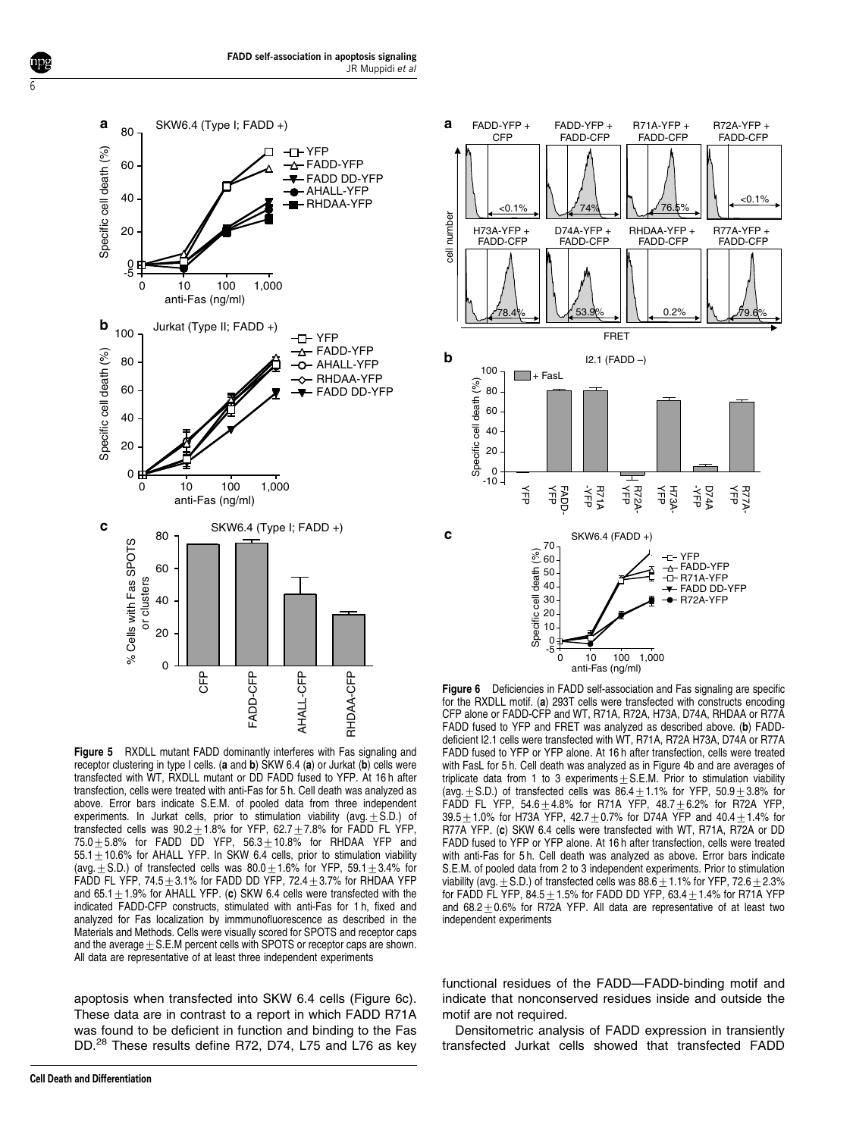

Figure 5 RXDLL mutant FADD dominantly interferes with Fas signaling and receptor clustering in type I cells. (a and b) SKW 6.4 (a) or Jurkat (b) cells were transfected with WT, RXDLL mutant or DD FADD fused to YFP. At 16 h after transfection, cells were treated with anti-Fas for 5 h. Cell death was analyzed as above. Error bars indicate S.E.M. of pooled data from three independent experiments. In Jurkat cells, prior to stimulation viability (avg. $\pm$  S.D.) of transfected cells was  $90.2 \pm 1.8$ % for YFP, 62.7 $\pm$ 7.8% for FADD FL YFP, 75.0 $\pm$ 5.8% for FADD DD YFP, 56.3 $\pm$ 10.8% for RHDAA YFP and  $55.1\pm10.6\%$  for AHALL YFP. In SKW 6.4 cells, prior to stimulation viability (avg. + S.D.) of transfected cells was  $80.0+1.6\%$  for YFP, 59.1+3.4% for FADD FL YFP,  $74.5\pm3.1\%$  for FADD DD YFP,  $72.4\pm3.7\%$  for RHDAA YFP and 65.1 $\pm$ 1.9% for AHALL YFP. (c) SKW 6.4 cells were transfected with the indicated FADD-CFP constructs, stimulated with anti-Fas for 1 h, fixed and analyzed for Fas localization by immmunofluorescence as described in the Materials and Methods. Cells were visually scored for SPOTS and receptor caps and the average  $\pm$  S.E.M percent cells with SPOTS or receptor caps are shown. All data are representative of at least three independent experiments

apoptosis when transfected into SKW 6.4 cells (Figure 6c). These data are in contrast to a report in which FADD R71A was found to be deficient in function and binding to the Fas DD.<sup>28</sup> These results define R72, D74, L75 and L76 as key

6



**Figure 6** Deficiencies in FADD self-association and Fas signaling are specific for the RXDLL motif. (a) 293T cells were transfected with constructs encoding CFP alone or FADD-CFP and WT, R71A, R72A, H73A, D74A, RHDAA or R77A FADD fused to YFP and FRET was analyzed as described above. (b) FADDdeficient I2.1 cells were transfected with WT, R71A, R72A H73A, D74A or R77A FADD fused to YFP or YFP alone. At 16 h after transfection, cells were treated with FasL for 5 h. Cell death was analyzed as in Figure 4b and are averages of triplicate data from 1 to 3 experiments  $\pm$  S.E.M. Prior to stimulation viability (avg.  $\pm$  S.D.) of transfected cells was 86.4 $\pm$ 1.1% for YFP, 50.9 $\pm$ 3.8% for FADD FL YFP,  $54.6 \pm 4.8\%$  for R71A YFP,  $48.7 \pm 6.2\%$  for R72A YFP, 39.5 $\pm$ 1.0% for H73A YFP, 42.7 $\pm$ 0.7% for D74A YFP and 40.4 $\pm$ 1.4% for R77A YFP. (c) SKW 6.4 cells were transfected with WT, R71A, R72A or DD FADD fused to YFP or YFP alone. At 16 h after transfection, cells were treated with anti-Fas for 5 h. Cell death was analyzed as above. Error bars indicate S.E.M. of pooled data from 2 to 3 independent experiments. Prior to stimulation viability (avg.  $\pm$  S.D.) of transfected cells was 88.6  $\pm$  1.1% for YFP, 72.6  $\pm$  2.3% for FADD FL YFP,  $84.5\pm1.5\%$  for FADD DD YFP,  $63.4\pm1.4\%$  for R71A YFP and  $68.2 \pm 0.6$ % for R72A YFP. All data are representative of at least two independent experiments

functional residues of the FADD—FADD-binding motif and indicate that nonconserved residues inside and outside the motif are not required.

Densitometric analysis of FADD expression in transiently transfected Jurkat cells showed that transfected FADD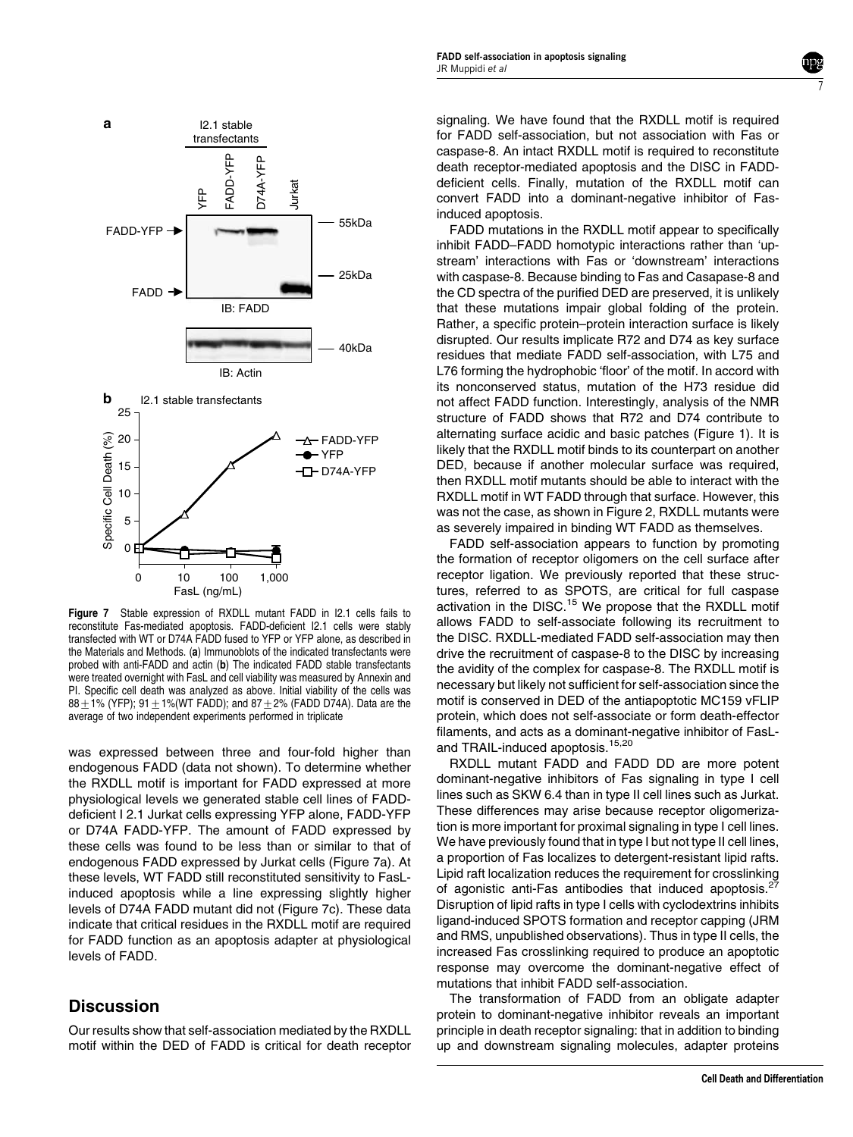

Figure 7 Stable expression of RXDLL mutant FADD in I2.1 cells fails to reconstitute Fas-mediated apoptosis. FADD-deficient I2.1 cells were stably transfected with WT or D74A FADD fused to YFP or YFP alone, as described in the Materials and Methods. (a) Immunoblots of the indicated transfectants were probed with anti-FADD and actin (b) The indicated FADD stable transfectants were treated overnight with FasL and cell viability was measured by Annexin and PI. Specific cell death was analyzed as above. Initial viability of the cells was  $88 + 1\%$  (YFP); 91 + 1%(WT FADD); and 87 + 2% (FADD D74A). Data are the average of two independent experiments performed in triplicate

was expressed between three and four-fold higher than endogenous FADD (data not shown). To determine whether the RXDLL motif is important for FADD expressed at more physiological levels we generated stable cell lines of FADDdeficient I 2.1 Jurkat cells expressing YFP alone, FADD-YFP or D74A FADD-YFP. The amount of FADD expressed by these cells was found to be less than or similar to that of endogenous FADD expressed by Jurkat cells (Figure 7a). At these levels, WT FADD still reconstituted sensitivity to FasLinduced apoptosis while a line expressing slightly higher levels of D74A FADD mutant did not (Figure 7c). These data indicate that critical residues in the RXDLL motif are required for FADD function as an apoptosis adapter at physiological levels of FADD.

## **Discussion**

Our results show that self-association mediated by the RXDLL motif within the DED of FADD is critical for death receptor

signaling. We have found that the RXDLL motif is required for FADD self-association, but not association with Fas or caspase-8. An intact RXDLL motif is required to reconstitute death receptor-mediated apoptosis and the DISC in FADDdeficient cells. Finally, mutation of the RXDLL motif can convert FADD into a dominant-negative inhibitor of Fasinduced apoptosis.

7

FADD mutations in the RXDLL motif appear to specifically inhibit FADD–FADD homotypic interactions rather than 'upstream' interactions with Fas or 'downstream' interactions with caspase-8. Because binding to Fas and Casapase-8 and the CD spectra of the purified DED are preserved, it is unlikely that these mutations impair global folding of the protein. Rather, a specific protein–protein interaction surface is likely disrupted. Our results implicate R72 and D74 as key surface residues that mediate FADD self-association, with L75 and L76 forming the hydrophobic 'floor' of the motif. In accord with its nonconserved status, mutation of the H73 residue did not affect FADD function. Interestingly, analysis of the NMR structure of FADD shows that R72 and D74 contribute to alternating surface acidic and basic patches (Figure 1). It is likely that the RXDLL motif binds to its counterpart on another DED, because if another molecular surface was required, then RXDLL motif mutants should be able to interact with the RXDLL motif in WT FADD through that surface. However, this was not the case, as shown in Figure 2, RXDLL mutants were as severely impaired in binding WT FADD as themselves.

FADD self-association appears to function by promoting the formation of receptor oligomers on the cell surface after receptor ligation. We previously reported that these structures, referred to as SPOTS, are critical for full caspase activation in the DISC.<sup>15</sup> We propose that the RXDLL motif allows FADD to self-associate following its recruitment to the DISC. RXDLL-mediated FADD self-association may then drive the recruitment of caspase-8 to the DISC by increasing the avidity of the complex for caspase-8. The RXDLL motif is necessary but likely not sufficient for self-association since the motif is conserved in DED of the antiapoptotic MC159 vFLIP protein, which does not self-associate or form death-effector filaments, and acts as a dominant-negative inhibitor of FasLand TRAIL-induced apoptosis.<sup>15,20</sup>

RXDLL mutant FADD and FADD DD are more potent dominant-negative inhibitors of Fas signaling in type I cell lines such as SKW 6.4 than in type II cell lines such as Jurkat. These differences may arise because receptor oligomerization is more important for proximal signaling in type I cell lines. We have previously found that in type I but not type II cell lines, a proportion of Fas localizes to detergent-resistant lipid rafts. Lipid raft localization reduces the requirement for crosslinking of agonistic anti-Fas antibodies that induced apoptosis.<sup>2</sup> Disruption of lipid rafts in type I cells with cyclodextrins inhibits ligand-induced SPOTS formation and receptor capping (JRM and RMS, unpublished observations). Thus in type II cells, the increased Fas crosslinking required to produce an apoptotic response may overcome the dominant-negative effect of mutations that inhibit FADD self-association.

The transformation of FADD from an obligate adapter protein to dominant-negative inhibitor reveals an important principle in death receptor signaling: that in addition to binding up and downstream signaling molecules, adapter proteins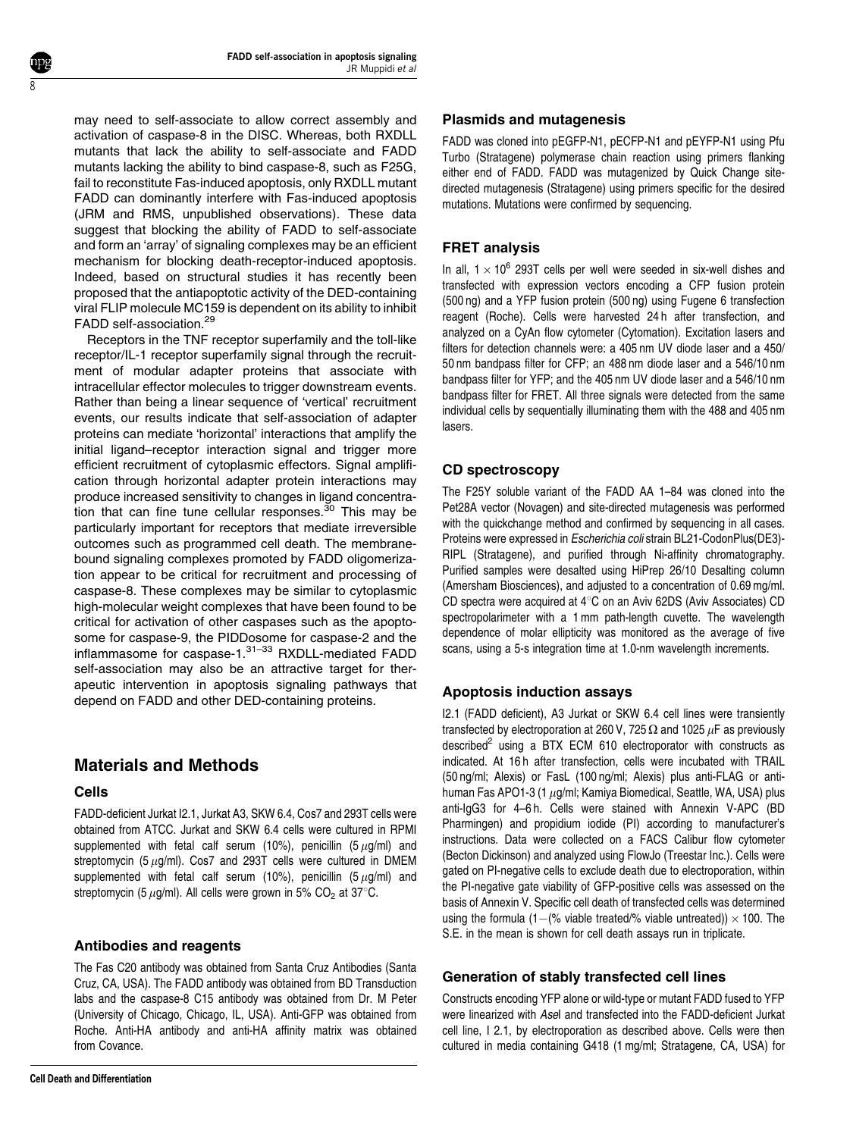may need to self-associate to allow correct assembly and activation of caspase-8 in the DISC. Whereas, both RXDLL mutants that lack the ability to self-associate and FADD mutants lacking the ability to bind caspase-8, such as F25G, fail to reconstitute Fas-induced apoptosis, only RXDLL mutant FADD can dominantly interfere with Fas-induced apoptosis (JRM and RMS, unpublished observations). These data suggest that blocking the ability of FADD to self-associate and form an 'array' of signaling complexes may be an efficient mechanism for blocking death-receptor-induced apoptosis. Indeed, based on structural studies it has recently been proposed that the antiapoptotic activity of the DED-containing viral FLIP molecule MC159 is dependent on its ability to inhibit FADD self-association.<sup>29</sup>

Receptors in the TNF receptor superfamily and the toll-like receptor/IL-1 receptor superfamily signal through the recruitment of modular adapter proteins that associate with intracellular effector molecules to trigger downstream events. Rather than being a linear sequence of 'vertical' recruitment events, our results indicate that self-association of adapter proteins can mediate 'horizontal' interactions that amplify the initial ligand–receptor interaction signal and trigger more efficient recruitment of cytoplasmic effectors. Signal amplification through horizontal adapter protein interactions may produce increased sensitivity to changes in ligand concentration that can fine tune cellular responses. $30$  This may be particularly important for receptors that mediate irreversible outcomes such as programmed cell death. The membranebound signaling complexes promoted by FADD oligomerization appear to be critical for recruitment and processing of caspase-8. These complexes may be similar to cytoplasmic high-molecular weight complexes that have been found to be critical for activation of other caspases such as the apoptosome for caspase-9, the PIDDosome for caspase-2 and the inflammasome for caspase-1.<sup>31-33</sup> RXDLL-mediated FADD self-association may also be an attractive target for therapeutic intervention in apoptosis signaling pathways that depend on FADD and other DED-containing proteins.

# Materials and Methods

#### Cells

8

FADD-deficient Jurkat I2.1, Jurkat A3, SKW 6.4, Cos7 and 293T cells were obtained from ATCC. Jurkat and SKW 6.4 cells were cultured in RPMI supplemented with fetal calf serum (10%), penicillin (5  $\mu$ g/ml) and streptomycin (5  $\mu$ g/ml). Cos7 and 293T cells were cultured in DMEM supplemented with fetal calf serum (10%), penicillin (5  $\mu$ g/ml) and streptomycin (5  $\mu$ g/ml). All cells were grown in 5% CO<sub>2</sub> at 37°C.

#### Antibodies and reagents

The Fas C20 antibody was obtained from Santa Cruz Antibodies (Santa Cruz, CA, USA). The FADD antibody was obtained from BD Transduction labs and the caspase-8 C15 antibody was obtained from Dr. M Peter (University of Chicago, Chicago, IL, USA). Anti-GFP was obtained from Roche. Anti-HA antibody and anti-HA affinity matrix was obtained from Covance.

#### Plasmids and mutagenesis

FADD was cloned into pEGFP-N1, pECFP-N1 and pEYFP-N1 using Pfu Turbo (Stratagene) polymerase chain reaction using primers flanking either end of FADD. FADD was mutagenized by Quick Change sitedirected mutagenesis (Stratagene) using primers specific for the desired mutations. Mutations were confirmed by sequencing.

## FRET analysis

In all,  $1 \times 10^6$  293T cells per well were seeded in six-well dishes and transfected with expression vectors encoding a CFP fusion protein (500 ng) and a YFP fusion protein (500 ng) using Fugene 6 transfection reagent (Roche). Cells were harvested 24 h after transfection, and analyzed on a CyAn flow cytometer (Cytomation). Excitation lasers and filters for detection channels were: a 405 nm UV diode laser and a 450/ 50 nm bandpass filter for CFP; an 488 nm diode laser and a 546/10 nm bandpass filter for YFP; and the 405 nm UV diode laser and a 546/10 nm bandpass filter for FRET. All three signals were detected from the same individual cells by sequentially illuminating them with the 488 and 405 nm lasers.

## CD spectroscopy

The F25Y soluble variant of the FADD AA 1–84 was cloned into the Pet28A vector (Novagen) and site-directed mutagenesis was performed with the quickchange method and confirmed by sequencing in all cases. Proteins were expressed in Escherichia coli strain BL21-CodonPlus(DE3)- RIPL (Stratagene), and purified through Ni-affinity chromatography. Purified samples were desalted using HiPrep 26/10 Desalting column (Amersham Biosciences), and adjusted to a concentration of 0.69 mg/ml. CD spectra were acquired at  $4^{\circ}$ C on an Aviv 62DS (Aviv Associates) CD spectropolarimeter with a 1 mm path-length cuvette. The wavelength dependence of molar ellipticity was monitored as the average of five scans, using a 5-s integration time at 1.0-nm wavelength increments.

## Apoptosis induction assays

I2.1 (FADD deficient), A3 Jurkat or SKW 6.4 cell lines were transiently transfected by electroporation at 260 V, 725  $\Omega$  and 1025  $\mu$ F as previously described $^2$  using a BTX ECM 610 electroporator with constructs as indicated. At 16 h after transfection, cells were incubated with TRAIL (50 ng/ml; Alexis) or FasL (100 ng/ml; Alexis) plus anti-FLAG or antihuman Fas APO1-3 (1  $\mu$ g/ml; Kamiya Biomedical, Seattle, WA, USA) plus anti-IgG3 for 4–6 h. Cells were stained with Annexin V-APC (BD Pharmingen) and propidium iodide (PI) according to manufacturer's instructions. Data were collected on a FACS Calibur flow cytometer (Becton Dickinson) and analyzed using FlowJo (Treestar Inc.). Cells were gated on PI-negative cells to exclude death due to electroporation, within the PI-negative gate viability of GFP-positive cells was assessed on the basis of Annexin V. Specific cell death of transfected cells was determined using the formula (1–(% viable treated/% viable untreated))  $\times$  100. The S.E. in the mean is shown for cell death assays run in triplicate.

#### Generation of stably transfected cell lines

Constructs encoding YFP alone or wild-type or mutant FADD fused to YFP were linearized with Asel and transfected into the FADD-deficient Jurkat cell line, I 2.1, by electroporation as described above. Cells were then cultured in media containing G418 (1 mg/ml; Stratagene, CA, USA) for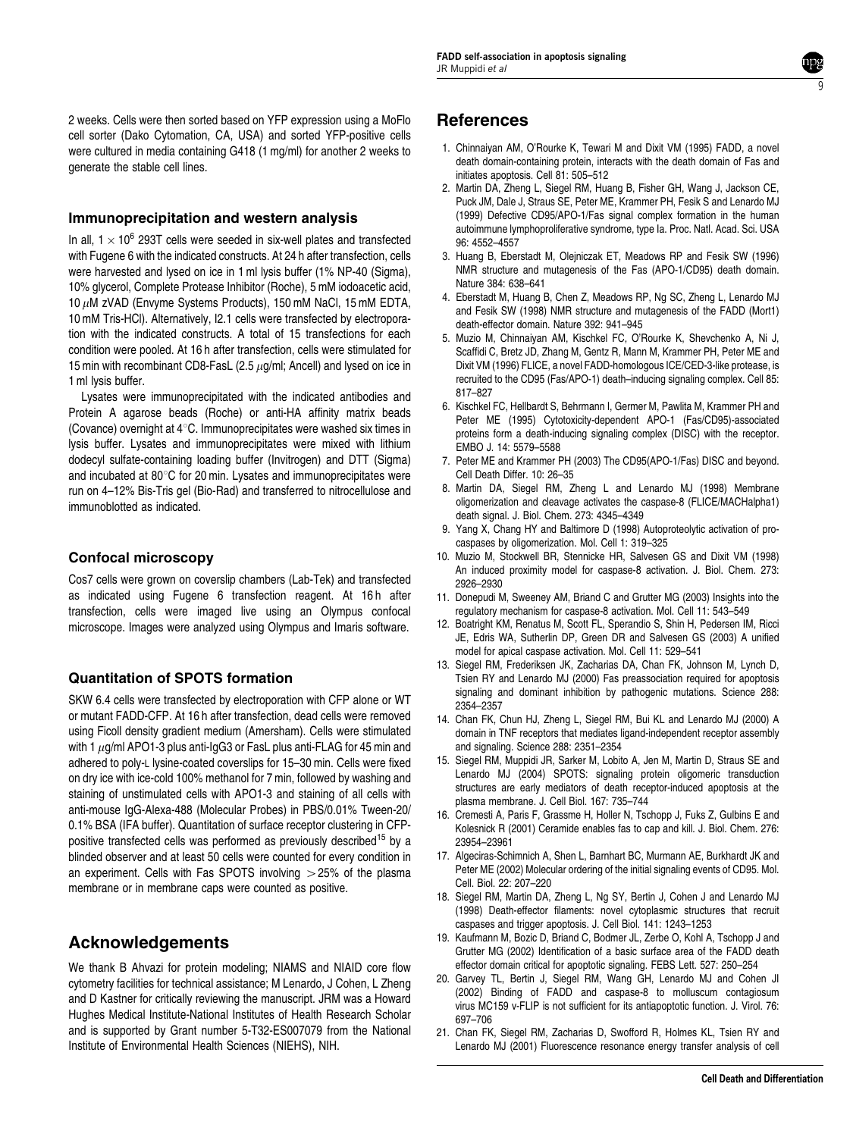2 weeks. Cells were then sorted based on YFP expression using a MoFlo cell sorter (Dako Cytomation, CA, USA) and sorted YFP-positive cells were cultured in media containing G418 (1 mg/ml) for another 2 weeks to generate the stable cell lines.

#### Immunoprecipitation and western analysis

In all,  $1 \times 10^6$  293T cells were seeded in six-well plates and transfected with Fugene 6 with the indicated constructs. At 24 h after transfection, cells were harvested and lysed on ice in 1 ml lysis buffer (1% NP-40 (Sigma), 10% glycerol, Complete Protease Inhibitor (Roche), 5 mM iodoacetic acid, 10  $\mu$ M zVAD (Envyme Systems Products), 150 mM NaCl, 15 mM EDTA, 10 mM Tris-HCl). Alternatively, I2.1 cells were transfected by electroporation with the indicated constructs. A total of 15 transfections for each condition were pooled. At 16 h after transfection, cells were stimulated for 15 min with recombinant CD8-FasL (2.5  $\mu$ g/ml; Ancell) and lysed on ice in 1 ml lysis buffer.

Lysates were immunoprecipitated with the indicated antibodies and Protein A agarose beads (Roche) or anti-HA affinity matrix beads (Covance) overnight at  $4^{\circ}$ C. Immunoprecipitates were washed six times in lysis buffer. Lysates and immunoprecipitates were mixed with lithium dodecyl sulfate-containing loading buffer (Invitrogen) and DTT (Sigma) and incubated at  $80^{\circ}$ C for 20 min. Lysates and immunoprecipitates were run on 4–12% Bis-Tris gel (Bio-Rad) and transferred to nitrocellulose and immunoblotted as indicated.

## Confocal microscopy

Cos7 cells were grown on coverslip chambers (Lab-Tek) and transfected as indicated using Fugene 6 transfection reagent. At 16h after transfection, cells were imaged live using an Olympus confocal microscope. Images were analyzed using Olympus and Imaris software.

## Quantitation of SPOTS formation

SKW 6.4 cells were transfected by electroporation with CFP alone or WT or mutant FADD-CFP. At 16 h after transfection, dead cells were removed using Ficoll density gradient medium (Amersham). Cells were stimulated with 1  $\mu$ g/ml APO1-3 plus anti-IgG3 or FasL plus anti-FLAG for 45 min and adhered to poly-L lysine-coated coverslips for 15–30 min. Cells were fixed on dry ice with ice-cold 100% methanol for 7 min, followed by washing and staining of unstimulated cells with APO1-3 and staining of all cells with anti-mouse IgG-Alexa-488 (Molecular Probes) in PBS/0.01% Tween-20/ 0.1% BSA (IFA buffer). Quantitation of surface receptor clustering in CFPpositive transfected cells was performed as previously described<sup>15</sup> by a blinded observer and at least 50 cells were counted for every condition in an experiment. Cells with Fas SPOTS involving  $>$  25% of the plasma membrane or in membrane caps were counted as positive.

# Acknowledgements

We thank B Ahvazi for protein modeling; NIAMS and NIAID core flow cytometry facilities for technical assistance; M Lenardo, J Cohen, L Zheng and D Kastner for critically reviewing the manuscript. JRM was a Howard Hughes Medical Institute-National Institutes of Health Research Scholar and is supported by Grant number 5-T32-ES007079 from the National Institute of Environmental Health Sciences (NIEHS), NIH.

# **References**

1. Chinnaiyan AM, O'Rourke K, Tewari M and Dixit VM (1995) FADD, a novel death domain-containing protein, interacts with the death domain of Fas and initiates apoptosis. Cell 81: 505–512

9

- 2. Martin DA, Zheng L, Siegel RM, Huang B, Fisher GH, Wang J, Jackson CE, Puck JM, Dale J, Straus SE, Peter ME, Krammer PH, Fesik S and Lenardo MJ (1999) Defective CD95/APO-1/Fas signal complex formation in the human autoimmune lymphoproliferative syndrome, type Ia. Proc. Natl. Acad. Sci. USA 96: 4552–4557
- 3. Huang B, Eberstadt M, Olejniczak ET, Meadows RP and Fesik SW (1996) NMR structure and mutagenesis of the Fas (APO-1/CD95) death domain. Nature 384: 638–641
- 4. Eberstadt M, Huang B, Chen Z, Meadows RP, Ng SC, Zheng L, Lenardo MJ and Fesik SW (1998) NMR structure and mutagenesis of the FADD (Mort1) death-effector domain. Nature 392: 941–945
- 5. Muzio M, Chinnaiyan AM, Kischkel FC, O'Rourke K, Shevchenko A, Ni J, Scaffidi C, Bretz JD, Zhang M, Gentz R, Mann M, Krammer PH, Peter ME and Dixit VM (1996) FLICE, a novel FADD-homologous ICE/CED-3-like protease, is recruited to the CD95 (Fas/APO-1) death–inducing signaling complex. Cell 85: 817–827
- 6. Kischkel FC, Hellbardt S, Behrmann I, Germer M, Pawlita M, Krammer PH and Peter ME (1995) Cytotoxicity-dependent APO-1 (Fas/CD95)-associated proteins form a death-inducing signaling complex (DISC) with the receptor. EMBO J. 14: 5579–5588
- 7. Peter ME and Krammer PH (2003) The CD95(APO-1/Fas) DISC and beyond. Cell Death Differ. 10: 26–35
- 8. Martin DA, Siegel RM, Zheng L and Lenardo MJ (1998) Membrane oligomerization and cleavage activates the caspase-8 (FLICE/MACHalpha1) death signal. J. Biol. Chem. 273: 4345–4349
- 9. Yang X, Chang HY and Baltimore D (1998) Autoproteolytic activation of procaspases by oligomerization. Mol. Cell 1: 319–325
- 10. Muzio M, Stockwell BR, Stennicke HR, Salvesen GS and Dixit VM (1998) An induced proximity model for caspase-8 activation. J. Biol. Chem. 273: 2926–2930
- 11. Donepudi M, Sweeney AM, Briand C and Grutter MG (2003) Insights into the regulatory mechanism for caspase-8 activation. Mol. Cell 11: 543–549
- 12. Boatright KM, Renatus M, Scott FL, Sperandio S, Shin H, Pedersen IM, Ricci JE, Edris WA, Sutherlin DP, Green DR and Salvesen GS (2003) A unified model for apical caspase activation. Mol. Cell 11: 529–541
- 13. Siegel RM, Frederiksen JK, Zacharias DA, Chan FK, Johnson M, Lynch D, Tsien RY and Lenardo MJ (2000) Fas preassociation required for apoptosis signaling and dominant inhibition by pathogenic mutations. Science 288: 2354–2357
- 14. Chan FK, Chun HJ, Zheng L, Siegel RM, Bui KL and Lenardo MJ (2000) A domain in TNF receptors that mediates ligand-independent receptor assembly and signaling. Science 288: 2351–2354
- 15. Siegel RM, Muppidi JR, Sarker M, Lobito A, Jen M, Martin D, Straus SE and Lenardo MJ (2004) SPOTS: signaling protein oligomeric transduction structures are early mediators of death receptor-induced apoptosis at the plasma membrane. J. Cell Biol. 167: 735–744
- 16. Cremesti A, Paris F, Grassme H, Holler N, Tschopp J, Fuks Z, Gulbins E and Kolesnick R (2001) Ceramide enables fas to cap and kill. J. Biol. Chem. 276: 23954–23961
- 17. Algeciras-Schimnich A, Shen L, Barnhart BC, Murmann AE, Burkhardt JK and Peter ME (2002) Molecular ordering of the initial signaling events of CD95. Mol. Cell. Biol. 22: 207–220
- 18. Siegel RM, Martin DA, Zheng L, Ng SY, Bertin J, Cohen J and Lenardo MJ (1998) Death-effector filaments: novel cytoplasmic structures that recruit caspases and trigger apoptosis. J. Cell Biol. 141: 1243–1253
- 19. Kaufmann M, Bozic D, Briand C, Bodmer JL, Zerbe O, Kohl A, Tschopp J and Grutter MG (2002) Identification of a basic surface area of the FADD death effector domain critical for apoptotic signaling. FEBS Lett. 527: 250–254
- 20. Garvey TL, Bertin J, Siegel RM, Wang GH, Lenardo MJ and Cohen JI (2002) Binding of FADD and caspase-8 to molluscum contagiosum virus MC159 v-FLIP is not sufficient for its antiapoptotic function. J. Virol. 76: 697–706
- 21. Chan FK, Siegel RM, Zacharias D, Swofford R, Holmes KL, Tsien RY and Lenardo MJ (2001) Fluorescence resonance energy transfer analysis of cell